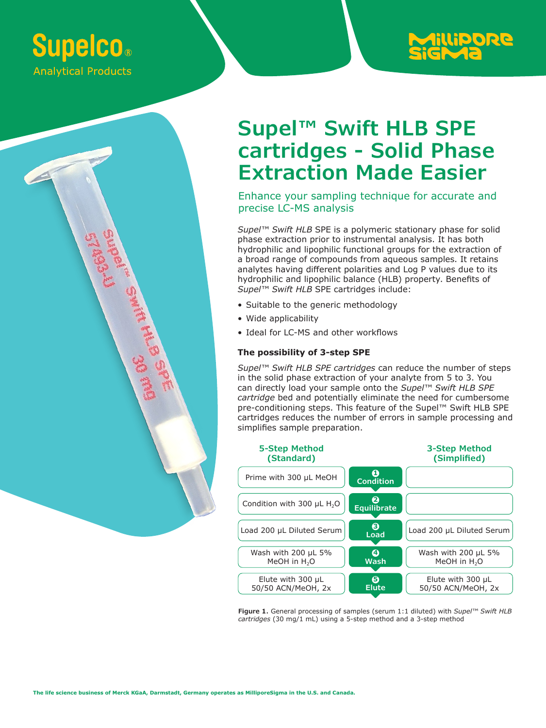# **Supelco. Analytical Products**

ARE SAIRS



## **Supel™ Swift HLB SPE cartridges - Solid Phase Extraction Made Easier**

Enhance your sampling technique for accurate and precise LC-MS analysis

*Supel™ Swift HLB* SPE is a polymeric stationary phase for solid phase extraction prior to instrumental analysis. It has both hydrophilic and lipophilic functional groups for the extraction of a broad range of compounds from aqueous samples. It retains analytes having different polarities and Log P values due to its hydrophilic and lipophilic balance (HLB) property. Benefits of *Supel™ Swift HLB* SPE cartridges include:

- Suitable to the generic methodology
- Wide applicability
- Ideal for LC-MS and other workflows

## **The possibility of 3-step SPE**

*Supel™ Swift HLB SPE cartridges* can reduce the number of steps in the solid phase extraction of your analyte from 5 to 3. You can directly load your sample onto the *Supel™ Swift HLB SPE cartridge* bed and potentially eliminate the need for cumbersome pre-conditioning steps. This feature of the Supel™ Swift HLB SPE cartridges reduces the number of errors in sample processing and simplifies sample preparation.



**Figure 1.** General processing of samples (serum 1:1 diluted) with *Supel™ Swift HLB cartridges* (30 mg/1 mL) using a 5-step method and a 3-step method